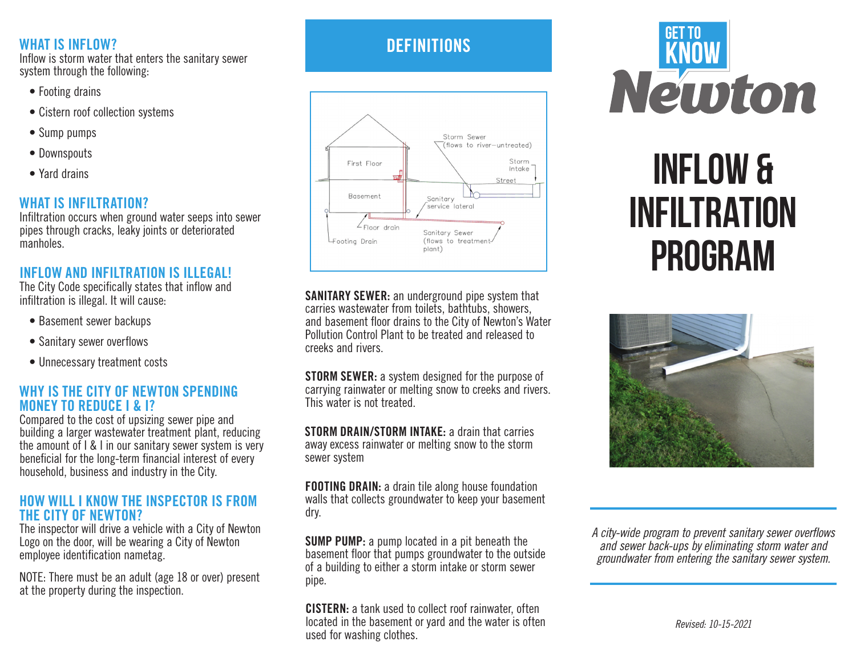### WHAT IS INFLOW?

Inflow is storm water that enters the sanitary sewer system through the following:

- Footing drains
- Cistern roof collection systems
- Sump pumps
- Downspouts
- Yard drains

### WHAT IS INFILTRATION?

Infiltration occurs when ground water seeps into sewer pipes through cracks, leaky joints or deteriorated manholes.

### INFLOW AND INFILTRATION IS ILLEGAL!

The City Code specifically states that inflow and infiltration is illegal. It will cause:

- Basement sewer backups
- Sanitary sewer overflows
- Unnecessary treatment costs

### WHY IS THE CITY OF NEWTON SPENDING MONEY TO REDUCE I & I?

Compared to the cost of upsizing sewer pipe and building a larger wastewater treatment plant, reducing the amount of I & I in our sanitary sewer system is very beneficial for the long-term financial interest of every household, business and industry in the City.

### HOW WILL I KNOW THE INSPECTOR IS FROM THE CITY OF NEWTON?

The inspector will drive a vehicle with a City of Newton Logo on the door, will be wearing a City of Newton employee identification nametag.

NOTE: There must be an adult (age 18 or over) present at the property during the inspection.

## **DEFINITIONS**



SANITARY SEWER: an underground pipe system that carries wastewater from toilets, bathtubs, showers, and basement floor drains to the City of Newton's Water Pollution Control Plant to be treated and released to creeks and rivers.

**STORM SEWER:** a system designed for the purpose of carrying rainwater or melting snow to creeks and rivers. This water is not treated.

STORM DRAIN/STORM INTAKE: a drain that carries away excess rainwater or melting snow to the storm sewer system

FOOTING DRAIN: a drain tile along house foundation walls that collects groundwater to keep your basement dry.

SUMP PUMP: a pump located in a pit beneath the basement floor that pumps groundwater to the outside of a building to either a storm intake or storm sewer pipe.

CISTERN: a tank used to collect roof rainwater, often located in the basement or yard and the water is often used for washing clothes.



# Inflow & Infiltration program



A city-wide program to prevent sanitary sewer overflows *and sewer back-ups by eliminating storm water and groundwater from entering the sanitary sewer system.*